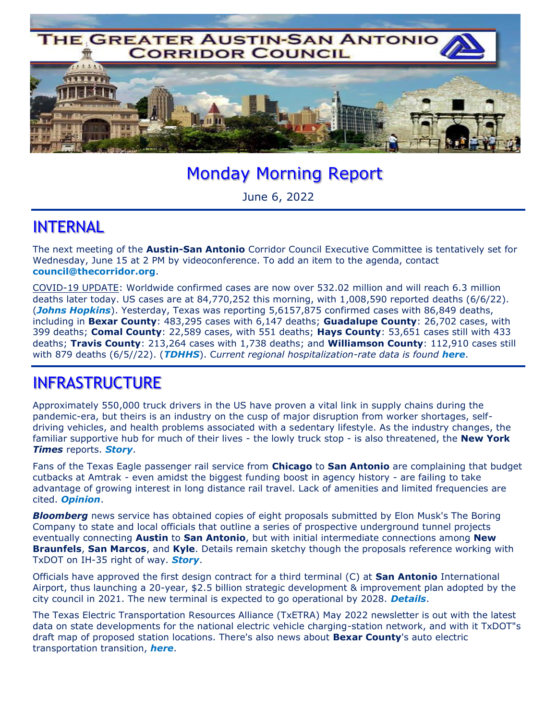

# Monday Morning Report

June 6, 2022

#### INTERNAL

The next meeting of the **Austin-San Antonio** Corridor Council Executive Committee is tentatively set for Wednesday, June 15 at 2 PM by videoconference. To add an item to the agenda, contact **council@thecorridor.org**.

COVID-19 UPDATE: Worldwide confirmed cases are now over 532.02 million and will reach 6.3 million deaths later today. US cases are at 84,770,252 this morning, with 1,008,590 reported deaths (6/6/22). (*Johns Hopkins*). Yesterday, Texas was reporting 5,6157,875 confirmed cases with 86,849 deaths, including in **Bexar County**: 483,295 cases with 6,147 deaths; **Guadalupe County**: 26,702 cases, with 399 deaths; **Comal County**: 22,589 cases, with 551 deaths; **Hays County**: 53,651 cases still with 433 deaths; **Travis County**: 213,264 cases with 1,738 deaths; and **Williamson County**: 112,910 cases still with 879 deaths (6/5//22). (*TDHHS*). C*urrent regional hospitalization-rate data is found here*.

### INFRASTRUCTURE

Approximately 550,000 truck drivers in the US have proven a vital link in supply chains during the pandemic-era, but theirs is an industry on the cusp of major disruption from worker shortages, selfdriving vehicles, and health problems associated with a sedentary lifestyle. As the industry changes, the familiar supportive hub for much of their lives - the lowly truck stop - is also threatened, the **New York**  *Times* reports. *Story*.

Fans of the Texas Eagle passenger rail service from **Chicago** to **San Antonio** are complaining that budget cutbacks at Amtrak - even amidst the biggest funding boost in agency history - are failing to take advantage of growing interest in long distance rail travel. Lack of amenities and limited frequencies are cited. *Opinion*.

**Bloomberg** news service has obtained copies of eight proposals submitted by Elon Musk's The Boring Company to state and local officials that outline a series of prospective underground tunnel projects eventually connecting **Austin** to **San Antonio**, but with initial intermediate connections among **New Braunfels**, **San Marcos**, and **Kyle**. Details remain sketchy though the proposals reference working with TxDOT on IH-35 right of way. *Story*.

Officials have approved the first design contract for a third terminal (C) at **San Antonio** International Airport, thus launching a 20-year, \$2.5 billion strategic development & improvement plan adopted by the city council in 2021. The new terminal is expected to go operational by 2028. *Details*.

The Texas Electric Transportation Resources Alliance (TxETRA) May 2022 newsletter is out with the latest data on state developments for the national electric vehicle charging-station network, and with it TxDOT"s draft map of proposed station locations. There's also news about **Bexar County**'s auto electric transportation transition, *here*.